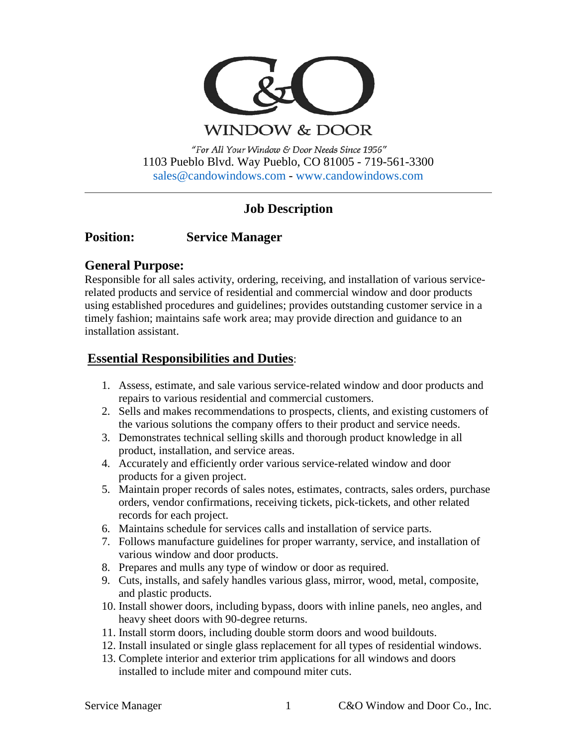

WINDOW & DOOR

"For All Your Window & Door Needs Since 1956" 1103 Pueblo Blvd. Way Pueblo, CO 81005 - 719-561-3300 [sales@candowindows.com](mailto:sales@candowindows.com) - [www.candowindows.com](http://www.candowindows.com/)

# **Job Description**

# **Position: Service Manager**

## **General Purpose:**

Responsible for all sales activity, ordering, receiving, and installation of various servicerelated products and service of residential and commercial window and door products using established procedures and guidelines; provides outstanding customer service in a timely fashion; maintains safe work area; may provide direction and guidance to an installation assistant.

## **Essential Responsibilities and Duties**:

- 1. Assess, estimate, and sale various service-related window and door products and repairs to various residential and commercial customers.
- 2. Sells and makes recommendations to prospects, clients, and existing customers of the various solutions the company offers to their product and service needs.
- 3. Demonstrates technical selling skills and thorough product knowledge in all product, installation, and service areas.
- 4. Accurately and efficiently order various service-related window and door products for a given project.
- 5. Maintain proper records of sales notes, estimates, contracts, sales orders, purchase orders, vendor confirmations, receiving tickets, pick-tickets, and other related records for each project.
- 6. Maintains schedule for services calls and installation of service parts.
- 7. Follows manufacture guidelines for proper warranty, service, and installation of various window and door products.
- 8. Prepares and mulls any type of window or door as required.
- 9. Cuts, installs, and safely handles various glass, mirror, wood, metal, composite, and plastic products.
- 10. Install shower doors, including bypass, doors with inline panels, neo angles, and heavy sheet doors with 90-degree returns.
- 11. Install storm doors, including double storm doors and wood buildouts.
- 12. Install insulated or single glass replacement for all types of residential windows.
- 13. Complete interior and exterior trim applications for all windows and doors installed to include miter and compound miter cuts.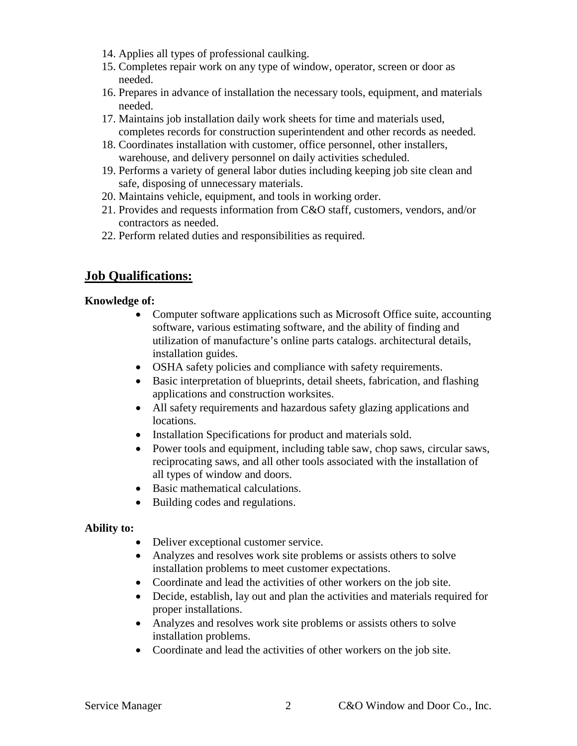- 14. Applies all types of professional caulking.
- 15. Completes repair work on any type of window, operator, screen or door as needed.
- 16. Prepares in advance of installation the necessary tools, equipment, and materials needed.
- 17. Maintains job installation daily work sheets for time and materials used, completes records for construction superintendent and other records as needed.
- 18. Coordinates installation with customer, office personnel, other installers, warehouse, and delivery personnel on daily activities scheduled.
- 19. Performs a variety of general labor duties including keeping job site clean and safe, disposing of unnecessary materials.
- 20. Maintains vehicle, equipment, and tools in working order.
- 21. Provides and requests information from C&O staff, customers, vendors, and/or contractors as needed.
- 22. Perform related duties and responsibilities as required.

# **Job Qualifications:**

## **Knowledge of:**

- Computer software applications such as Microsoft Office suite, accounting software, various estimating software, and the ability of finding and utilization of manufacture's online parts catalogs. architectural details, installation guides.
- OSHA safety policies and compliance with safety requirements.
- Basic interpretation of blueprints, detail sheets, fabrication, and flashing applications and construction worksites.
- All safety requirements and hazardous safety glazing applications and locations.
- Installation Specifications for product and materials sold.
- Power tools and equipment, including table saw, chop saws, circular saws, reciprocating saws, and all other tools associated with the installation of all types of window and doors.
- Basic mathematical calculations.
- Building codes and regulations.

## **Ability to:**

- Deliver exceptional customer service.
- Analyzes and resolves work site problems or assists others to solve installation problems to meet customer expectations.
- Coordinate and lead the activities of other workers on the job site.
- Decide, establish, lay out and plan the activities and materials required for proper installations.
- Analyzes and resolves work site problems or assists others to solve installation problems.
- Coordinate and lead the activities of other workers on the job site.